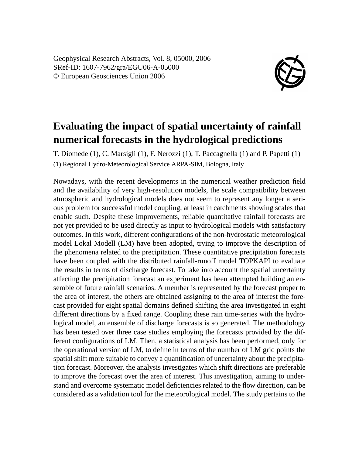Geophysical Research Abstracts, Vol. 8, 05000, 2006 SRef-ID: 1607-7962/gra/EGU06-A-05000 © European Geosciences Union 2006



## **Evaluating the impact of spatial uncertainty of rainfall numerical forecasts in the hydrological predictions**

T. Diomede (1), C. Marsigli (1), F. Nerozzi (1), T. Paccagnella (1) and P. Papetti (1) (1) Regional Hydro-Meteorological Service ARPA-SIM, Bologna, Italy

Nowadays, with the recent developments in the numerical weather prediction field and the availability of very high-resolution models, the scale compatibility between atmospheric and hydrological models does not seem to represent any longer a serious problem for successful model coupling, at least in catchments showing scales that enable such. Despite these improvements, reliable quantitative rainfall forecasts are not yet provided to be used directly as input to hydrological models with satisfactory outcomes. In this work, different configurations of the non-hydrostatic meteorological model Lokal Modell (LM) have been adopted, trying to improve the description of the phenomena related to the precipitation. These quantitative precipitation forecasts have been coupled with the distributed rainfall-runoff model TOPKAPI to evaluate the results in terms of discharge forecast. To take into account the spatial uncertainty affecting the precipitation forecast an experiment has been attempted building an ensemble of future rainfall scenarios. A member is represented by the forecast proper to the area of interest, the others are obtained assigning to the area of interest the forecast provided for eight spatial domains defined shifting the area investigated in eight different directions by a fixed range. Coupling these rain time-series with the hydrological model, an ensemble of discharge forecasts is so generated. The methodology has been tested over three case studies employing the forecasts provided by the different configurations of LM. Then, a statistical analysis has been performed, only for the operational version of LM, to define in terms of the number of LM grid points the spatial shift more suitable to convey a quantification of uncertainty about the precipitation forecast. Moreover, the analysis investigates which shift directions are preferable to improve the forecast over the area of interest. This investigation, aiming to understand and overcome systematic model deficiencies related to the flow direction, can be considered as a validation tool for the meteorological model. The study pertains to the